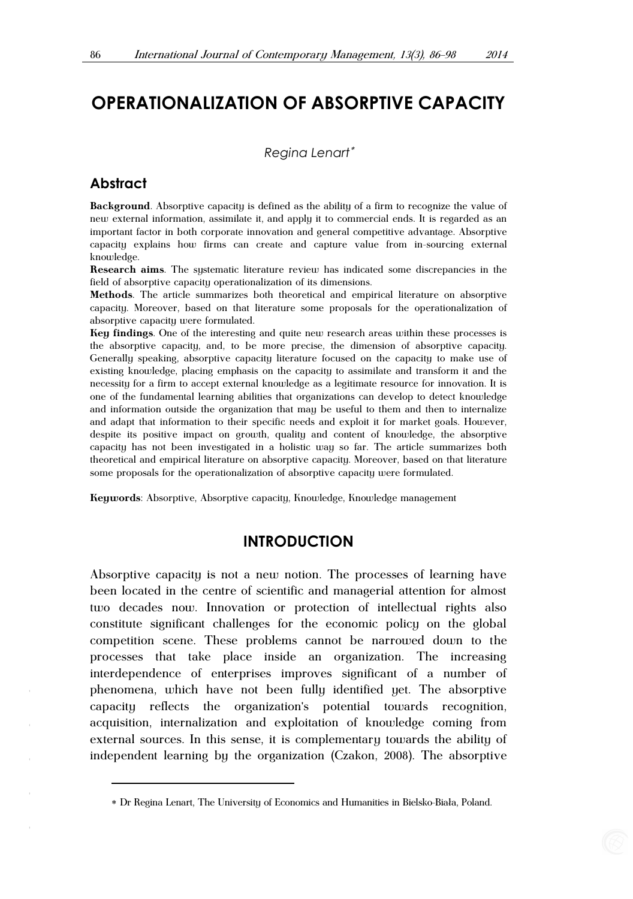## **OPERATIONALIZATION OF ABSORPTIVE CAPACITY**

*Regina Lenart*\*

#### **Abstract**

ī

**Background**. Absorptive capacity is defined as the ability of a firm to recognize the value of new external information, assimilate it, and apply it to commercial ends. It is regarded as an important factor in both corporate innovation and general competitive advantage. Absorptive capacity explains how firms can create and capture value from in-sourcing external knowledge.

**Research aims**. The systematic literature review has indicated some discrepancies in the field of absorptive capacity operationalization of its dimensions.

**Methods**. The article summarizes both theoretical and empirical literature on absorptive capacity. Moreover, based on that literature some proposals for the operationalization of absorptive capacity were formulated.

**Key findings**. One of the interesting and quite new research areas within these processes is the absorptive capacity, and, to be more precise, the dimension of absorptive capacity. Generally speaking, absorptive capacity literature focused on the capacity to make use of existing knowledge, placing emphasis on the capacity to assimilate and transform it and the necessity for a firm to accept external knowledge as a legitimate resource for innovation. It is one of the fundamental learning abilities that organizations can develop to detect knowledge and information outside the organization that may be useful to them and then to internalize and adapt that information to their specific needs and exploit it for market goals. However, despite its positive impact on growth, quality and content of knowledge, the absorptive capacity has not been investigated in a holistic way so far. The article summarizes both theoretical and empirical literature on absorptive capacity. Moreover, based on that literature some proposals for the operationalization of absorptive capacity were formulated.

**Keywords**: Absorptive, Absorptive capacity, Knowledge, Knowledge management

## **INTRODUCTION**

Absorptive capacity is not a new notion. The processes of learning have been located in the centre of scientific and managerial attention for almost two decades now. Innovation or protection of intellectual rights also constitute significant challenges for the economic policy on the global competition scene. These problems cannot be narrowed down to the processes that take place inside an organization. The increasing interdependence of enterprises improves significant of a number of phenomena, which have not been fully identified yet. The absorptive capacity reflects the organization's potential towards recognition, acquisition, internalization and exploitation of knowledge coming from external sources. In this sense, it is complementary towards the ability of independent learning by the organization (Czakon, 2008). The absorptive

<sup>\*</sup> Dr Regina Lenart, The University of Economics and Humanities in Bielsko-Bia³a, Poland.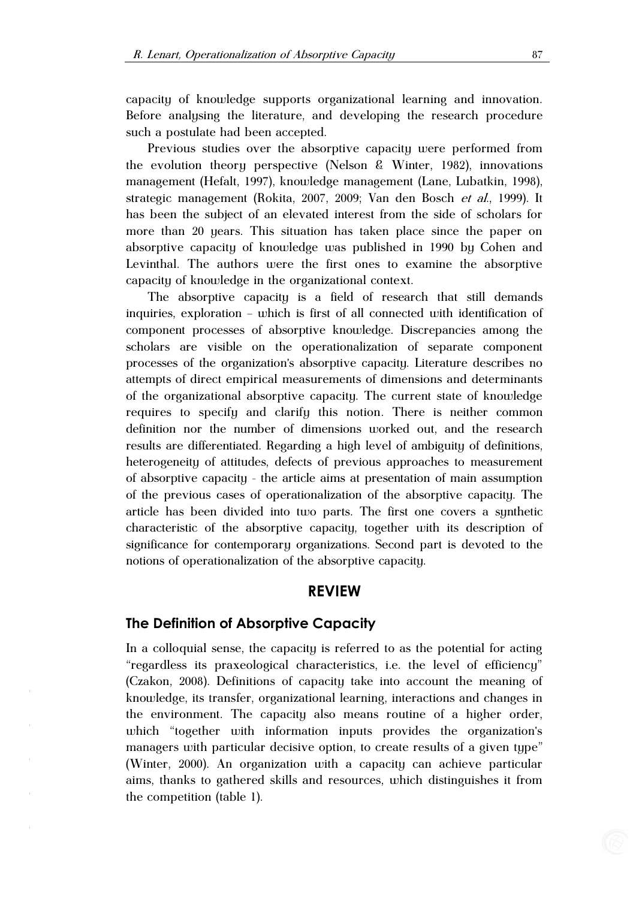capacity of knowledge supports organizational learning and innovation. Before analysing the literature, and developing the research procedure such a postulate had been accepted.

Previous studies over the absorptive capacity were performed from the evolution theory perspective (Nelson & Winter, 1982), innovations management (Hefalt, 1997), knowledge management (Lane, Lubatkin, 1998), strategic management (Rokita, 2007, 2009; Van den Bosch et al., 1999). It has been the subject of an elevated interest from the side of scholars for more than 20 years. This situation has taken place since the paper on absorptive capacity of knowledge was published in 1990 by Cohen and Levinthal. The authors were the first ones to examine the absorptive capacity of knowledge in the organizational context.

The absorptive capacity is a field of research that still demands inquiries, exploration – which is first of all connected with identification of component processes of absorptive knowledge. Discrepancies among the scholars are visible on the operationalization of separate component processes of the organization's absorptive capacity. Literature describes no attempts of direct empirical measurements of dimensions and determinants of the organizational absorptive capacity. The current state of knowledge requires to specify and clarify this notion. There is neither common definition nor the number of dimensions worked out, and the research results are differentiated. Regarding a high level of ambiguity of definitions, heterogeneity of attitudes, defects of previous approaches to measurement of absorptive capacity - the article aims at presentation of main assumption of the previous cases of operationalization of the absorptive capacity. The article has been divided into two parts. The first one covers a synthetic characteristic of the absorptive capacity, together with its description of significance for contemporary organizations. Second part is devoted to the notions of operationalization of the absorptive capacity.

## **REVIEW**

#### **The Definition of Absorptive Capacity**

In a colloquial sense, the capacity is referred to as the potential for acting "regardless its praxeological characteristics, i.e. the level of efficiency" (Czakon, 2008). Definitions of capacity take into account the meaning of knowledge, its transfer, organizational learning, interactions and changes in the environment. The capacity also means routine of a higher order, which "together with information inputs provides the organization's managers with particular decisive option, to create results of a given type" (Winter, 2000). An organization with a capacity can achieve particular aims, thanks to gathered skills and resources, which distinguishes it from the competition (table 1).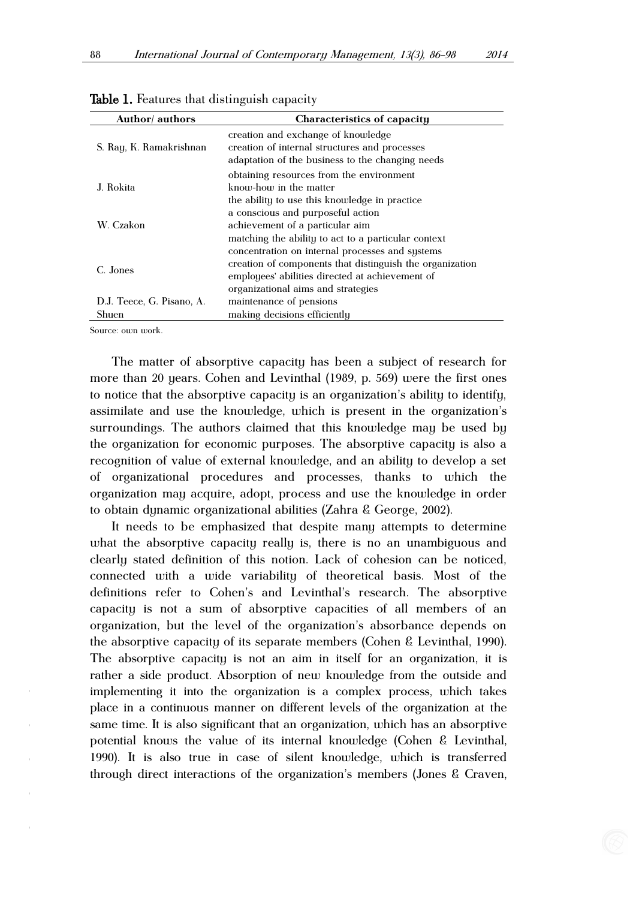| Author/ authors                    | Characteristics of capacity                                                                                                                                                                          |
|------------------------------------|------------------------------------------------------------------------------------------------------------------------------------------------------------------------------------------------------|
| S. Ray, K. Ramakrishnan            | creation and exchange of knowledge<br>creation of internal structures and processes<br>adaptation of the business to the changing needs                                                              |
| J. Rokita                          | obtaining resources from the environment<br>know-how in the matter<br>the ability to use this knowledge in practice                                                                                  |
| W. Czakon                          | a conscious and purposeful action<br>achievement of a particular aim<br>matching the ability to act to a particular context                                                                          |
| C. Jones                           | concentration on internal processes and systems<br>creation of components that distinguish the organization<br>employees' abilities directed at achievement of<br>organizational aims and strategies |
| D.J. Teece, G. Pisano, A.<br>Shuen | maintenance of pensions<br>making decisions efficiently                                                                                                                                              |

Table 1. Features that distinguish capacity

Source: own work.

The matter of absorptive capacity has been a subject of research for more than 20 years. Cohen and Levinthal (1989, p. 569) were the first ones to notice that the absorptive capacity is an organization's ability to identify, assimilate and use the knowledge, which is present in the organization's surroundings. The authors claimed that this knowledge may be used by the organization for economic purposes. The absorptive capacity is also a recognition of value of external knowledge, and an ability to develop a set of organizational procedures and processes, thanks to which the organization may acquire, adopt, process and use the knowledge in order to obtain dynamic organizational abilities (Zahra & George, 2002).

It needs to be emphasized that despite many attempts to determine what the absorptive capacity really is, there is no an unambiguous and clearly stated definition of this notion. Lack of cohesion can be noticed, connected with a wide variability of theoretical basis. Most of the definitions refer to Cohen's and Levinthal's research. The absorptive capacity is not a sum of absorptive capacities of all members of an organization, but the level of the organization's absorbance depends on the absorptive capacity of its separate members (Cohen & Levinthal, 1990). The absorptive capacity is not an aim in itself for an organization, it is rather a side product. Absorption of new knowledge from the outside and implementing it into the organization is a complex process, which takes place in a continuous manner on different levels of the organization at the same time. It is also significant that an organization, which has an absorptive potential knows the value of its internal knowledge (Cohen & Levinthal, 1990). It is also true in case of silent knowledge, which is transferred through direct interactions of the organization's members (Jones & Craven,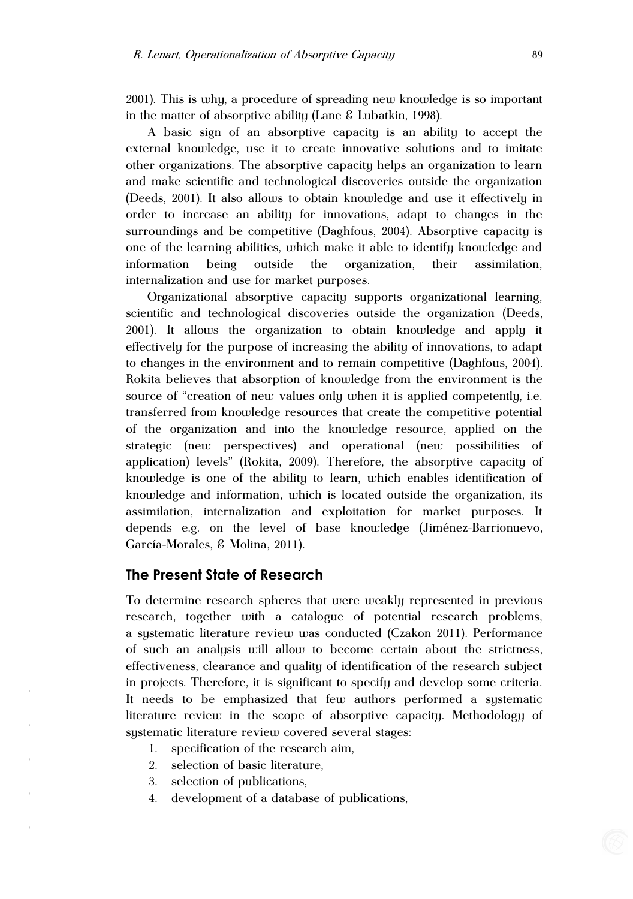2001). This is why, a procedure of spreading new knowledge is so important in the matter of absorptive ability (Lane & Lubatkin, 1998).

A basic sign of an absorptive capacity is an ability to accept the external knowledge, use it to create innovative solutions and to imitate other organizations. The absorptive capacity helps an organization to learn and make scientific and technological discoveries outside the organization (Deeds, 2001). It also allows to obtain knowledge and use it effectively in order to increase an ability for innovations, adapt to changes in the surroundings and be competitive (Daghfous, 2004). Absorptive capacity is one of the learning abilities, which make it able to identify knowledge and information being outside the organization, their assimilation, internalization and use for market purposes.

Organizational absorptive capacity supports organizational learning, scientific and technological discoveries outside the organization (Deeds, 2001). It allows the organization to obtain knowledge and apply it effectively for the purpose of increasing the ability of innovations, to adapt to changes in the environment and to remain competitive (Daghfous, 2004). Rokita believes that absorption of knowledge from the environment is the source of "creation of new values only when it is applied competently, i.e. transferred from knowledge resources that create the competitive potential of the organization and into the knowledge resource, applied on the strategic (new perspectives) and operational (new possibilities of application) levels" (Rokita, 2009). Therefore, the absorptive capacity of knowledge is one of the ability to learn, which enables identification of knowledge and information, which is located outside the organization, its assimilation, internalization and exploitation for market purposes. It depends e.g. on the level of base knowledge (Jiménez-Barrionuevo, García-Morales, & Molina, 2011).

#### **The Present State of Research**

To determine research spheres that were weakly represented in previous research, together with a catalogue of potential research problems, a systematic literature review was conducted (Czakon 2011). Performance of such an analysis will allow to become certain about the strictness, effectiveness, clearance and quality of identification of the research subject in projects. Therefore, it is significant to specify and develop some criteria. It needs to be emphasized that few authors performed a systematic literature review in the scope of absorptive capacity. Methodology of systematic literature review covered several stages:

- 1. specification of the research aim,
- 2. selection of basic literature,
- 3. selection of publications,
- 4. development of a database of publications,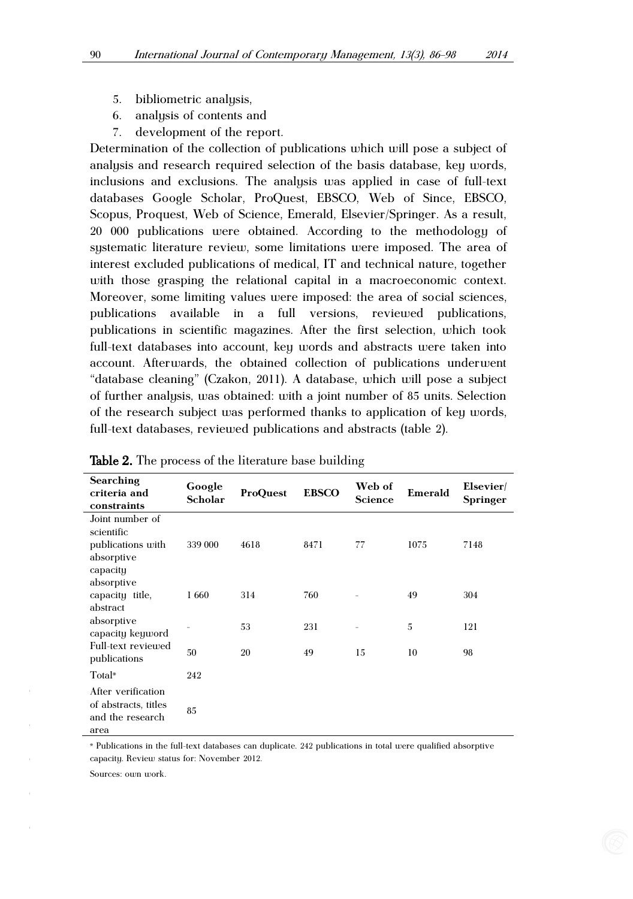- 5. bibliometric analysis,
- 6. analysis of contents and
- 7. development of the report.

Determination of the collection of publications which will pose a subject of analysis and research required selection of the basis database, key words, inclusions and exclusions. The analysis was applied in case of full-text databases Google Scholar, ProQuest, EBSCO, Web of Since, EBSCO, Scopus, Proquest, Web of Science, Emerald, Elsevier/Springer. As a result, 20 000 publications were obtained. According to the methodology of systematic literature review, some limitations were imposed. The area of interest excluded publications of medical, IT and technical nature, together with those grasping the relational capital in a macroeconomic context. Moreover, some limiting values were imposed: the area of social sciences, publications available in a full versions, reviewed publications, publications in scientific magazines. After the first selection, which took full-text databases into account, key words and abstracts were taken into account. Afterwards, the obtained collection of publications underwent "database cleaning" (Czakon, 2011). A database, which will pose a subject of further analysis, was obtained: with a joint number of 85 units. Selection of the research subject was performed thanks to application of key words, full-text databases, reviewed publications and abstracts (table 2).

| Searching<br>criteria and<br>constraints                                     | Google<br><b>Scholar</b> | ProQuest | <b>EBSCO</b> | Web of<br>Science        | Emerald | Elsevier/<br>Springer |
|------------------------------------------------------------------------------|--------------------------|----------|--------------|--------------------------|---------|-----------------------|
| Joint number of<br>scientific<br>publications with<br>absorptive<br>capacity | 339 000                  | 4618     | 8471         | 77                       | 1075    | 7148                  |
| absorptive<br>capacity title,<br>abstract                                    | 1660                     | 314      | 760          |                          | 49      | 304                   |
| absorptive<br>capacity keyword                                               |                          | 53       | 231          | $\overline{\phantom{a}}$ | 5       | 121                   |
| Full-text reviewed<br>publications                                           | 50                       | 20       | 49           | 15                       | 10      | 98                    |
| Total*                                                                       | 242                      |          |              |                          |         |                       |
| After verification<br>of abstracts, titles<br>and the research<br>area       | 85                       |          |              |                          |         |                       |

Table 2. The process of the literature base building

\* Publications in the full-text databases can duplicate. 242 publications in total were qualified absorptive capacity. Review status for: November 2012.

Sources: own work.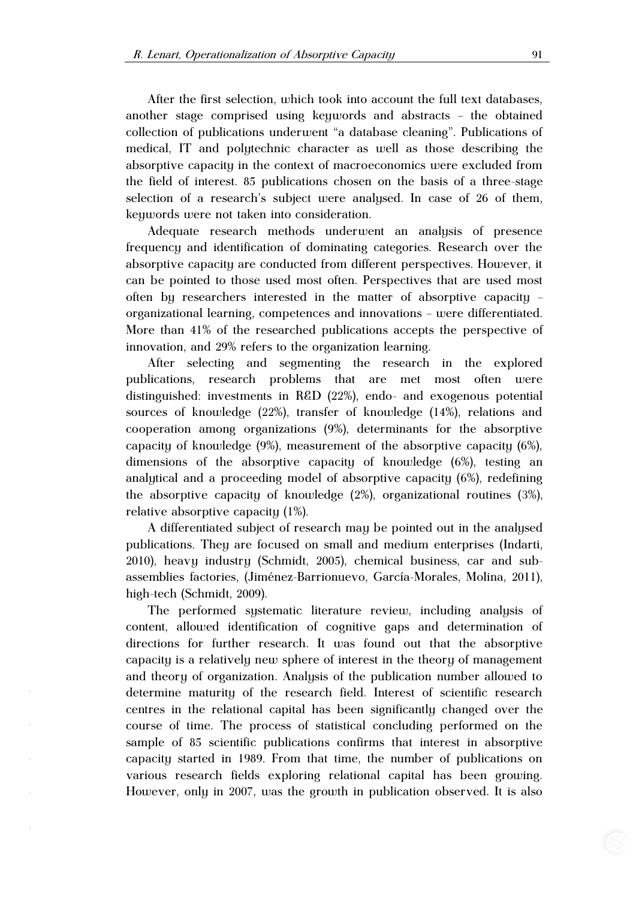After the first selection, which took into account the full text databases, another stage comprised using keywords and abstracts – the obtained collection of publications underwent "a database cleaning". Publications of medical, IT and polytechnic character as well as those describing the absorptive capacity in the context of macroeconomics were excluded from the field of interest. 85 publications chosen on the basis of a three-stage selection of a research's subject were analysed. In case of 26 of them, keywords were not taken into consideration.

Adequate research methods underwent an analysis of presence frequency and identification of dominating categories. Research over the absorptive capacity are conducted from different perspectives. However, it can be pointed to those used most often. Perspectives that are used most often by researchers interested in the matter of absorptive capacity – organizational learning, competences and innovations – were differentiated. More than 41% of the researched publications accepts the perspective of innovation, and 29% refers to the organization learning.

After selecting and segmenting the research in the explored publications, research problems that are met most often were distinguished: investments in R&D (22%), endo- and exogenous potential sources of knowledge (22%), transfer of knowledge (14%), relations and cooperation among organizations (9%), determinants for the absorptive capacity of knowledge (9%), measurement of the absorptive capacity (6%), dimensions of the absorptive capacity of knowledge (6%), testing an analytical and a proceeding model of absorptive capacity (6%), redefining the absorptive capacity of knowledge (2%), organizational routines (3%), relative absorptive capacity (1%).

A differentiated subject of research may be pointed out in the analysed publications. They are focused on small and medium enterprises (Indarti, 2010), heavy industry (Schmidt, 2005), chemical business, car and subassemblies factories, (Jiménez-Barrionuevo, García-Morales, Molina, 2011), high-tech (Schmidt, 2009).

The performed systematic literature review, including analysis of content, allowed identification of cognitive gaps and determination of directions for further research. It was found out that the absorptive capacity is a relatively new sphere of interest in the theory of management and theory of organization. Analysis of the publication number allowed to determine maturity of the research field. Interest of scientific research centres in the relational capital has been significantly changed over the course of time. The process of statistical concluding performed on the sample of 85 scientific publications confirms that interest in absorptive capacity started in 1989. From that time, the number of publications on various research fields exploring relational capital has been growing. However, only in 2007, was the growth in publication observed. It is also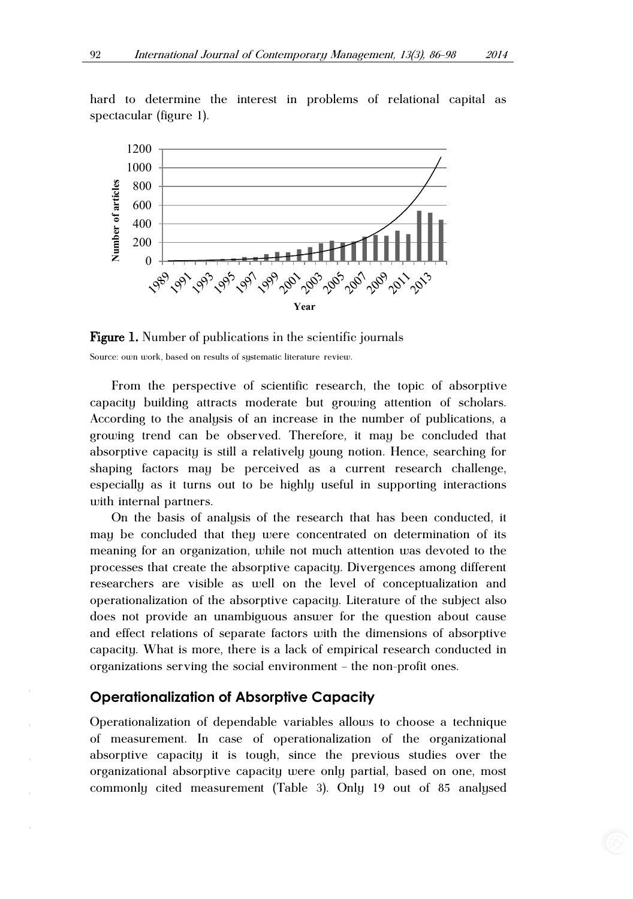hard to determine the interest in problems of relational capital as spectacular (figure 1).



**Figure 1.** Number of publications in the scientific journals Source: own work, based on results of systematic literature review.

From the perspective of scientific research, the topic of absorptive capacity building attracts moderate but growing attention of scholars. According to the analysis of an increase in the number of publications, a growing trend can be observed. Therefore, it may be concluded that absorptive capacity is still a relatively young notion. Hence, searching for shaping factors may be perceived as a current research challenge, especially as it turns out to be highly useful in supporting interactions with internal partners.

On the basis of analysis of the research that has been conducted, it may be concluded that they were concentrated on determination of its meaning for an organization, while not much attention was devoted to the processes that create the absorptive capacity. Divergences among different researchers are visible as well on the level of conceptualization and operationalization of the absorptive capacity. Literature of the subject also does not provide an unambiguous answer for the question about cause and effect relations of separate factors with the dimensions of absorptive capacity. What is more, there is a lack of empirical research conducted in organizations serving the social environment – the non-profit ones.

#### **Operationalization of Absorptive Capacity**

Operationalization of dependable variables allows to choose a technique of measurement. In case of operationalization of the organizational absorptive capacity it is tough, since the previous studies over the organizational absorptive capacity were only partial, based on one, most commonly cited measurement (Table 3). Only 19 out of 85 analysed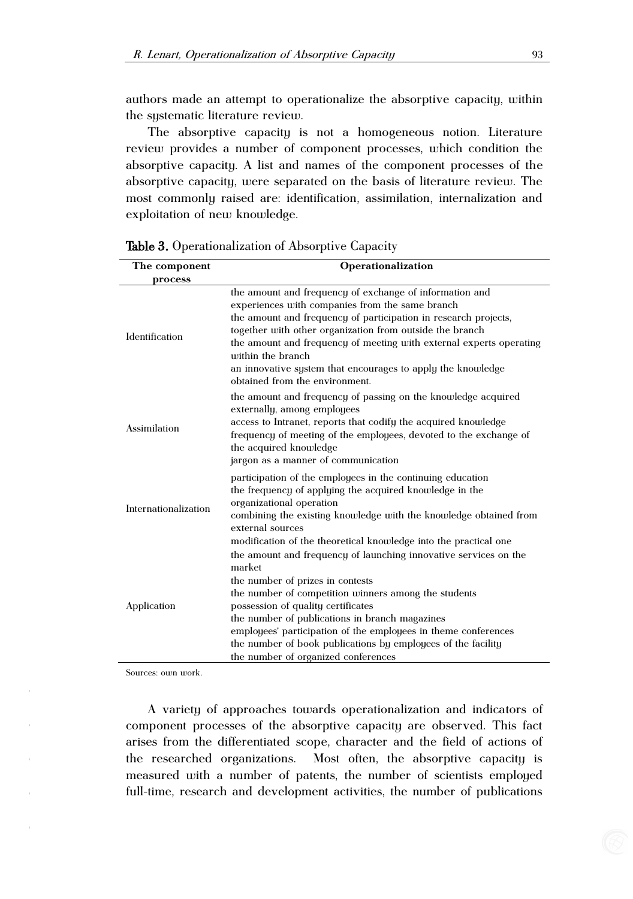authors made an attempt to operationalize the absorptive capacity, within the systematic literature review.

The absorptive capacity is not a homogeneous notion. Literature review provides a number of component processes, which condition the absorptive capacity. A list and names of the component processes of the absorptive capacity, were separated on the basis of literature review. The most commonly raised are: identification, assimilation, internalization and exploitation of new knowledge.

| The component        | Operationalization                                                                                                                                                                                                                                                                                                                                                                                                                      |  |  |
|----------------------|-----------------------------------------------------------------------------------------------------------------------------------------------------------------------------------------------------------------------------------------------------------------------------------------------------------------------------------------------------------------------------------------------------------------------------------------|--|--|
| process              |                                                                                                                                                                                                                                                                                                                                                                                                                                         |  |  |
| Identification       | the amount and frequency of exchange of information and<br>experiences with companies from the same branch<br>the amount and frequency of participation in research projects,<br>together with other organization from outside the branch<br>the amount and frequency of meeting with external experts operating<br>within the branch<br>an innovative system that encourages to apply the knowledge                                    |  |  |
| Assimilation         | obtained from the environment.<br>the amount and frequency of passing on the knowledge acquired<br>externally, among employees<br>access to Intranet, reports that codify the acquired knowledge<br>frequency of meeting of the employees, devoted to the exchange of<br>the acquired knowledge<br>jargon as a manner of communication                                                                                                  |  |  |
| Internationalization | participation of the employees in the continuing education<br>the frequency of applying the acquired knowledge in the<br>organizational operation<br>combining the existing knowledge with the knowledge obtained from<br>external sources<br>modification of the theoretical knowledge into the practical one                                                                                                                          |  |  |
| Application          | the amount and frequency of launching innovative services on the<br>market<br>the number of prizes in contests<br>the number of competition winners among the students<br>possession of quality certificates<br>the number of publications in branch magazines<br>employees' participation of the employees in theme conferences<br>the number of book publications by employees of the facility<br>the number of organized conferences |  |  |

Table 3. Operationalization of Absorptive Capacity

Sources: own work.

A variety of approaches towards operationalization and indicators of component processes of the absorptive capacity are observed. This fact arises from the differentiated scope, character and the field of actions of the researched organizations. Most often, the absorptive capacity is measured with a number of patents, the number of scientists employed full-time, research and development activities, the number of publications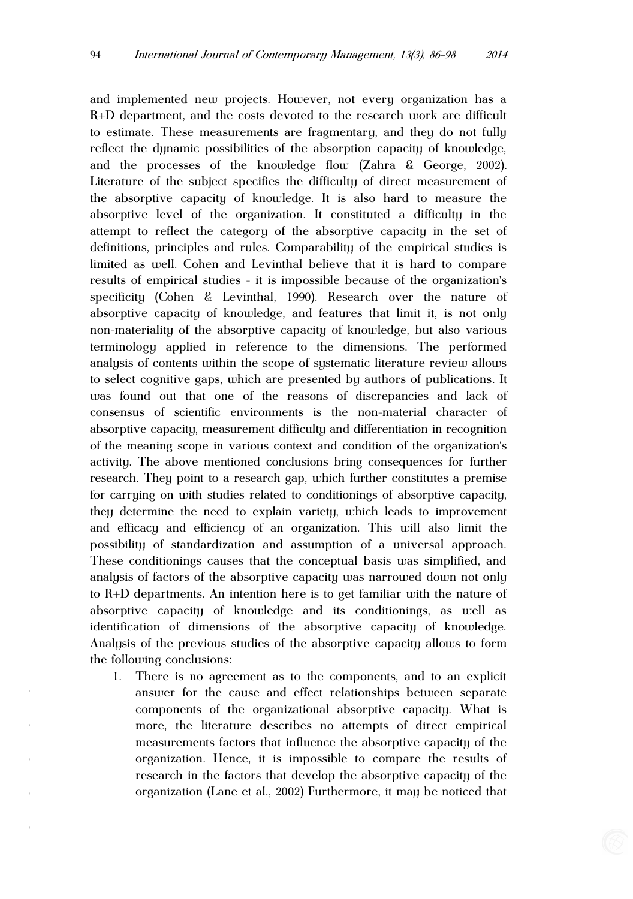and implemented new projects. However, not every organization has a R+D department, and the costs devoted to the research work are difficult to estimate. These measurements are fragmentary, and they do not fully reflect the dynamic possibilities of the absorption capacity of knowledge, and the processes of the knowledge flow (Zahra & George, 2002). Literature of the subject specifies the difficulty of direct measurement of the absorptive capacity of knowledge. It is also hard to measure the absorptive level of the organization. It constituted a difficulty in the attempt to reflect the category of the absorptive capacity in the set of definitions, principles and rules. Comparability of the empirical studies is limited as well. Cohen and Levinthal believe that it is hard to compare results of empirical studies - it is impossible because of the organization's specificity (Cohen & Levinthal, 1990). Research over the nature of absorptive capacity of knowledge, and features that limit it, is not only non-materiality of the absorptive capacity of knowledge, but also various terminology applied in reference to the dimensions. The performed analysis of contents within the scope of systematic literature review allows to select cognitive gaps, which are presented by authors of publications. It was found out that one of the reasons of discrepancies and lack of consensus of scientific environments is the non-material character of absorptive capacity, measurement difficulty and differentiation in recognition of the meaning scope in various context and condition of the organization's activity. The above mentioned conclusions bring consequences for further research. They point to a research gap, which further constitutes a premise for carrying on with studies related to conditionings of absorptive capacity, they determine the need to explain variety, which leads to improvement and efficacy and efficiency of an organization. This will also limit the possibility of standardization and assumption of a universal approach. These conditionings causes that the conceptual basis was simplified, and analysis of factors of the absorptive capacity was narrowed down not only to R+D departments. An intention here is to get familiar with the nature of absorptive capacity of knowledge and its conditionings, as well as identification of dimensions of the absorptive capacity of knowledge. Analysis of the previous studies of the absorptive capacity allows to form the following conclusions:

1. There is no agreement as to the components, and to an explicit answer for the cause and effect relationships between separate components of the organizational absorptive capacity. What is more, the literature describes no attempts of direct empirical measurements factors that influence the absorptive capacity of the organization. Hence, it is impossible to compare the results of research in the factors that develop the absorptive capacity of the organization (Lane et al., 2002) Furthermore, it may be noticed that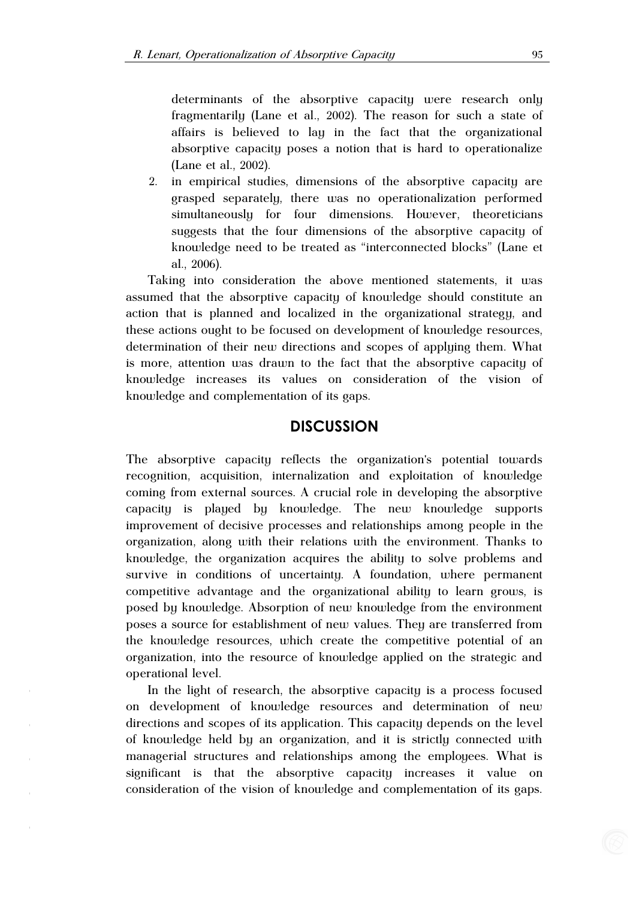determinants of the absorptive capacity were research only fragmentarily (Lane et al., 2002). The reason for such a state of affairs is believed to lay in the fact that the organizational absorptive capacity poses a notion that is hard to operationalize (Lane et al., 2002).

2. in empirical studies, dimensions of the absorptive capacity are grasped separately, there was no operationalization performed simultaneously for four dimensions. However, theoreticians suggests that the four dimensions of the absorptive capacity of knowledge need to be treated as "interconnected blocks" (Lane et al., 2006).

Taking into consideration the above mentioned statements, it was assumed that the absorptive capacity of knowledge should constitute an action that is planned and localized in the organizational strategy, and these actions ought to be focused on development of knowledge resources, determination of their new directions and scopes of applying them. What is more, attention was drawn to the fact that the absorptive capacity of knowledge increases its values on consideration of the vision of knowledge and complementation of its gaps.

## **DISCUSSION**

The absorptive capacity reflects the organization's potential towards recognition, acquisition, internalization and exploitation of knowledge coming from external sources. A crucial role in developing the absorptive capacity is played by knowledge. The new knowledge supports improvement of decisive processes and relationships among people in the organization, along with their relations with the environment. Thanks to knowledge, the organization acquires the ability to solve problems and survive in conditions of uncertainty. A foundation, where permanent competitive advantage and the organizational ability to learn grows, is posed by knowledge. Absorption of new knowledge from the environment poses a source for establishment of new values. They are transferred from the knowledge resources, which create the competitive potential of an organization, into the resource of knowledge applied on the strategic and operational level.

In the light of research, the absorptive capacity is a process focused on development of knowledge resources and determination of new directions and scopes of its application. This capacity depends on the level of knowledge held by an organization, and it is strictly connected with managerial structures and relationships among the employees. What is significant is that the absorptive capacity increases it value on consideration of the vision of knowledge and complementation of its gaps.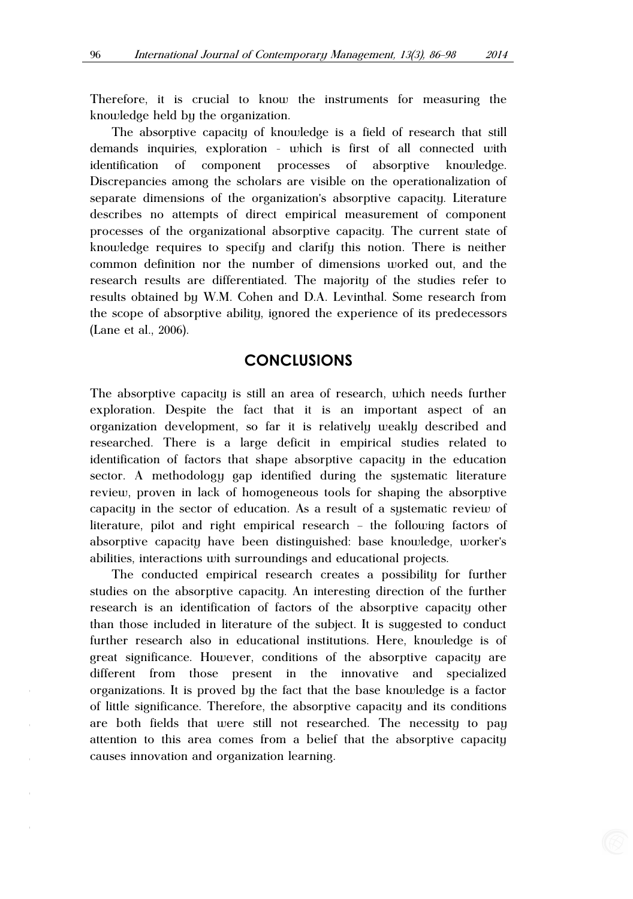Therefore, it is crucial to know the instruments for measuring the knowledge held by the organization.

The absorptive capacity of knowledge is a field of research that still demands inquiries, exploration - which is first of all connected with identification of component processes of absorptive knowledge. Discrepancies among the scholars are visible on the operationalization of separate dimensions of the organization's absorptive capacity. Literature describes no attempts of direct empirical measurement of component processes of the organizational absorptive capacity. The current state of knowledge requires to specify and clarify this notion. There is neither common definition nor the number of dimensions worked out, and the research results are differentiated. The majority of the studies refer to results obtained by W.M. Cohen and D.A. Levinthal. Some research from the scope of absorptive ability, ignored the experience of its predecessors (Lane et al., 2006).

## **CONCLUSIONS**

The absorptive capacity is still an area of research, which needs further exploration. Despite the fact that it is an important aspect of an organization development, so far it is relatively weakly described and researched. There is a large deficit in empirical studies related to identification of factors that shape absorptive capacity in the education sector. A methodology gap identified during the systematic literature review, proven in lack of homogeneous tools for shaping the absorptive capacity in the sector of education. As a result of a systematic review of literature, pilot and right empirical research – the following factors of absorptive capacity have been distinguished: base knowledge, worker's abilities, interactions with surroundings and educational projects.

The conducted empirical research creates a possibility for further studies on the absorptive capacity. An interesting direction of the further research is an identification of factors of the absorptive capacity other than those included in literature of the subject. It is suggested to conduct further research also in educational institutions. Here, knowledge is of great significance. However, conditions of the absorptive capacity are different from those present in the innovative and specialized organizations. It is proved by the fact that the base knowledge is a factor of little significance. Therefore, the absorptive capacity and its conditions are both fields that were still not researched. The necessity to pay attention to this area comes from a belief that the absorptive capacity causes innovation and organization learning.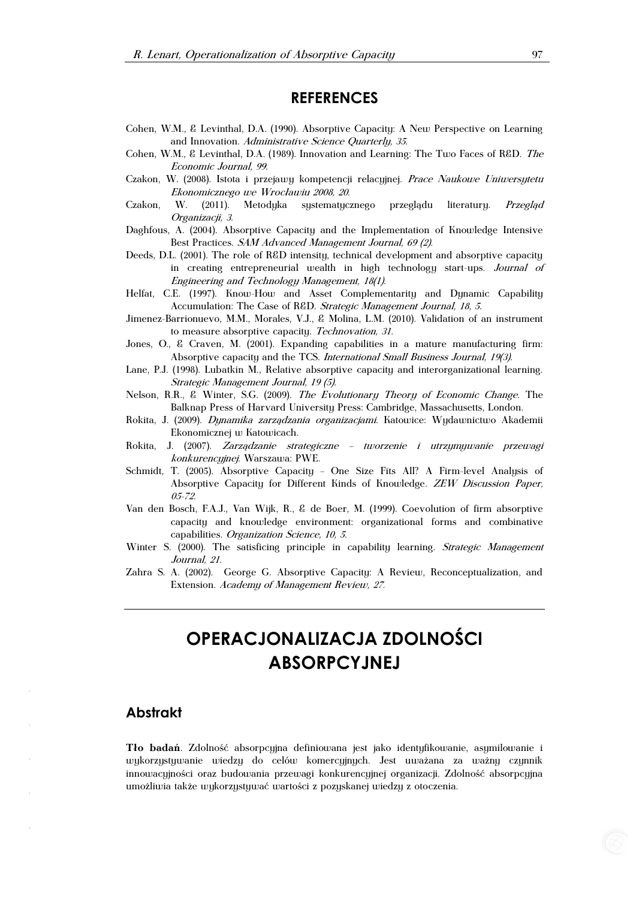## **REFERENCES**

- Cohen, W.M., & Levinthal, D.A. (1990). Absorptive Capacity: A New Perspective on Learning and Innovation. Administrative Science Quarterly, 35.
- Cohen, W.M., & Levinthal, D.A. (1989). Innovation and Learning: The Two Faces of R&D. The Economic Journal, 99.
- Czakon, W. (2008). Istota i przejawy kompetencji relacyjnej. Prace Naukowe Uniwersytetu Ekonomicznego we Wrocławiu 2008, 20.
- Czakon, W. (2011). Metodyka systematycznego przegladu literatury. Przeglad Organizacji, 3.
- Daghfous, A. (2004). Absorptive Capacity and the Implementation of Knowledge Intensive Best Practices. SAM Advanced Management Journal, 69 (2).
- Deeds, D.L. (2001). The role of R&D intensity, technical development and absorptive capacity in creating entrepreneurial wealth in high technology start-ups. Journal of Engineering and Technology Management, 18(1).
- Helfat, C.E. (1997). Know-How and Asset Complementarity and Dynamic Capability Accumulation: The Case of R&D. Strategic Management Journal, 18, 5.
- Jimenez-Barrionuevo, M.M., Morales, V.J., & Molina, L.M. (2010). Validation of an instrument to measure absorptive capacity. Technovation, 31.
- Jones, O., & Craven, M. (2001). Expanding capabilities in a mature manufacturing firm: Absorptive capacity and the TCS. International Small Business Journal, 19(3).
- Lane, P.J. (1998). Lubatkin M., Relative absorptive capacity and interorganizational learning. Strategic Management Journal, 19 (5).
- Nelson, R.R., & Winter, S.G. (2009). The Evolutionary Theory of Economic Change. The Balknap Press of Harvard University Press: Cambridge, Massachusetts, London.
- Rokita, J. (2009). Dynamika zarządzania organizacjami. Katowice: Wydawnictwo Akademii Ekonomicznej w Katowicach.
- Rokita, J. (2007). Zarządzanie strategiczne tworzenie i utrzymywanie przewagi konkurencyjnej. Warszawa: PWE.
- Schmidt, T. (2005). Absorptive Capacity One Size Fits All? A Firm-level Analysis of Absorptive Capacity for Different Kinds of Knowledge. *ZEW Discussion Paper*, 05-72.
- Van den Bosch, F.A.J., Van Wijk, R., & de Boer, M. (1999). Coevolution of firm absorptive capacity and knowledge environment: organizational forms and combinative capabilities. Organization Science, 10, 5.
- Winter S. (2000). The satisficing principle in capability learning. Strategic Management Journal, 21.
- Zahra S. A. (2002). George G. Absorptive Capacity: A Review, Reconceptualization, and Extension. Academy of Management Review, 27.

# **OPERACJONALIZACJA ZDOLNOŚCI ABSORPCYJNEJ**

#### **Abstrakt**

**Tło badań**. Zdolność absorpcyjna definiowana jest jako identyfikowanie, asymilowanie i wykorzystywanie wiedzy do celów komercyjnych. Jest uważana za ważny czynnik innowacyjności oraz budowania przewagi konkurencyjnej organizacji. Zdolność absorpcyjna umożliwia także wykorzystywać wartości z pozyskanej wiedzy z otoczenia.